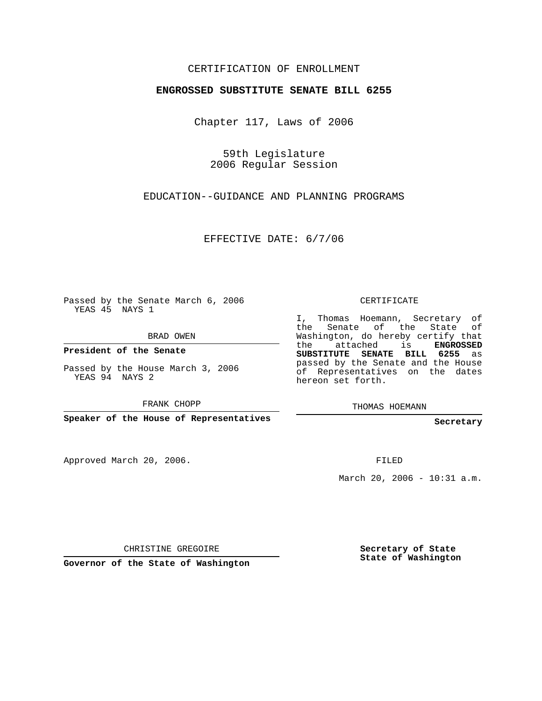## CERTIFICATION OF ENROLLMENT

## **ENGROSSED SUBSTITUTE SENATE BILL 6255**

Chapter 117, Laws of 2006

59th Legislature 2006 Regular Session

EDUCATION--GUIDANCE AND PLANNING PROGRAMS

EFFECTIVE DATE: 6/7/06

Passed by the Senate March 6, 2006 YEAS 45 NAYS 1

BRAD OWEN

**President of the Senate**

Passed by the House March 3, 2006 YEAS 94 NAYS 2

FRANK CHOPP

**Speaker of the House of Representatives**

Approved March 20, 2006.

CERTIFICATE

I, Thomas Hoemann, Secretary of the Senate of the State of Washington, do hereby certify that the attached is **ENGROSSED SUBSTITUTE SENATE BILL 6255** as passed by the Senate and the House of Representatives on the dates hereon set forth.

THOMAS HOEMANN

**Secretary**

FILED

March 20, 2006 - 10:31 a.m.

CHRISTINE GREGOIRE

**Governor of the State of Washington**

**Secretary of State State of Washington**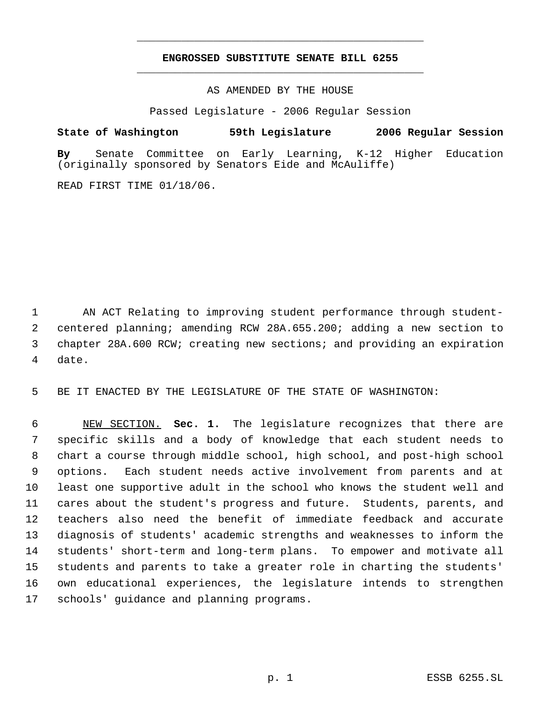## **ENGROSSED SUBSTITUTE SENATE BILL 6255** \_\_\_\_\_\_\_\_\_\_\_\_\_\_\_\_\_\_\_\_\_\_\_\_\_\_\_\_\_\_\_\_\_\_\_\_\_\_\_\_\_\_\_\_\_

\_\_\_\_\_\_\_\_\_\_\_\_\_\_\_\_\_\_\_\_\_\_\_\_\_\_\_\_\_\_\_\_\_\_\_\_\_\_\_\_\_\_\_\_\_

AS AMENDED BY THE HOUSE

Passed Legislature - 2006 Regular Session

**State of Washington 59th Legislature 2006 Regular Session**

**By** Senate Committee on Early Learning, K-12 Higher Education (originally sponsored by Senators Eide and McAuliffe)

READ FIRST TIME 01/18/06.

 AN ACT Relating to improving student performance through student- centered planning; amending RCW 28A.655.200; adding a new section to chapter 28A.600 RCW; creating new sections; and providing an expiration date.

BE IT ENACTED BY THE LEGISLATURE OF THE STATE OF WASHINGTON:

 NEW SECTION. **Sec. 1.** The legislature recognizes that there are specific skills and a body of knowledge that each student needs to chart a course through middle school, high school, and post-high school options. Each student needs active involvement from parents and at least one supportive adult in the school who knows the student well and cares about the student's progress and future. Students, parents, and teachers also need the benefit of immediate feedback and accurate diagnosis of students' academic strengths and weaknesses to inform the students' short-term and long-term plans. To empower and motivate all students and parents to take a greater role in charting the students' own educational experiences, the legislature intends to strengthen schools' guidance and planning programs.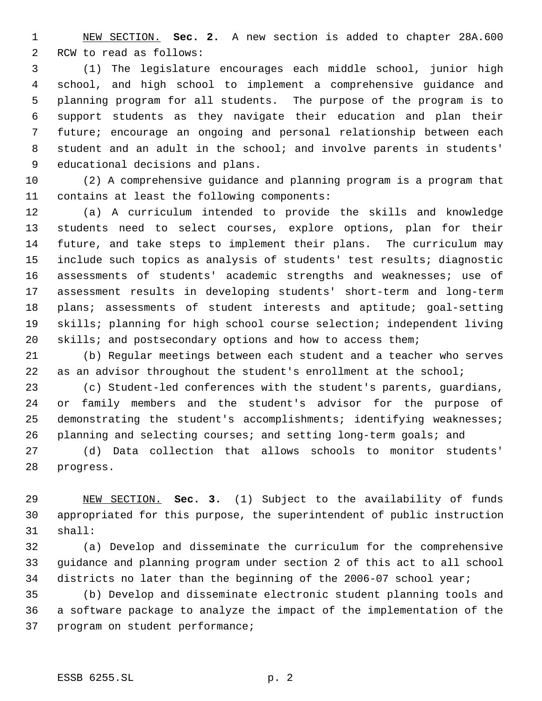NEW SECTION. **Sec. 2.** A new section is added to chapter 28A.600 RCW to read as follows:

 (1) The legislature encourages each middle school, junior high school, and high school to implement a comprehensive guidance and planning program for all students. The purpose of the program is to support students as they navigate their education and plan their future; encourage an ongoing and personal relationship between each student and an adult in the school; and involve parents in students' educational decisions and plans.

 (2) A comprehensive guidance and planning program is a program that contains at least the following components:

 (a) A curriculum intended to provide the skills and knowledge students need to select courses, explore options, plan for their future, and take steps to implement their plans. The curriculum may include such topics as analysis of students' test results; diagnostic assessments of students' academic strengths and weaknesses; use of assessment results in developing students' short-term and long-term 18 plans; assessments of student interests and aptitude; goal-setting skills; planning for high school course selection; independent living 20 skills; and postsecondary options and how to access them;

 (b) Regular meetings between each student and a teacher who serves 22 as an advisor throughout the student's enrollment at the school;

 (c) Student-led conferences with the student's parents, guardians, or family members and the student's advisor for the purpose of demonstrating the student's accomplishments; identifying weaknesses; planning and selecting courses; and setting long-term goals; and

 (d) Data collection that allows schools to monitor students' progress.

 NEW SECTION. **Sec. 3.** (1) Subject to the availability of funds appropriated for this purpose, the superintendent of public instruction shall:

 (a) Develop and disseminate the curriculum for the comprehensive guidance and planning program under section 2 of this act to all school districts no later than the beginning of the 2006-07 school year;

 (b) Develop and disseminate electronic student planning tools and a software package to analyze the impact of the implementation of the program on student performance;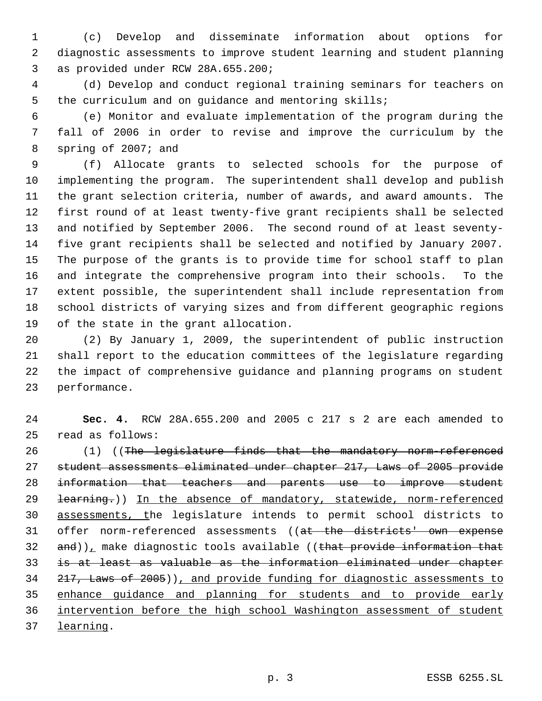(c) Develop and disseminate information about options for diagnostic assessments to improve student learning and student planning as provided under RCW 28A.655.200;

 (d) Develop and conduct regional training seminars for teachers on the curriculum and on guidance and mentoring skills;

 (e) Monitor and evaluate implementation of the program during the fall of 2006 in order to revise and improve the curriculum by the spring of 2007; and

 (f) Allocate grants to selected schools for the purpose of implementing the program. The superintendent shall develop and publish the grant selection criteria, number of awards, and award amounts. The first round of at least twenty-five grant recipients shall be selected and notified by September 2006. The second round of at least seventy- five grant recipients shall be selected and notified by January 2007. The purpose of the grants is to provide time for school staff to plan and integrate the comprehensive program into their schools. To the extent possible, the superintendent shall include representation from school districts of varying sizes and from different geographic regions of the state in the grant allocation.

 (2) By January 1, 2009, the superintendent of public instruction shall report to the education committees of the legislature regarding the impact of comprehensive guidance and planning programs on student performance.

 **Sec. 4.** RCW 28A.655.200 and 2005 c 217 s 2 are each amended to read as follows:

26 (1) ((The legislature finds that the mandatory norm referenced student assessments eliminated under chapter 217, Laws of 2005 provide information that teachers and parents use to improve student 29 <del>learning.</del>)) In the absence of mandatory, statewide, norm-referenced assessments, the legislature intends to permit school districts to offer norm-referenced assessments ((at the districts' own expense  $and)$ , make diagnostic tools available ((that provide information that is at least as valuable as the information eliminated under chapter 217, Laws of 2005)), and provide funding for diagnostic assessments to enhance guidance and planning for students and to provide early intervention before the high school Washington assessment of student learning.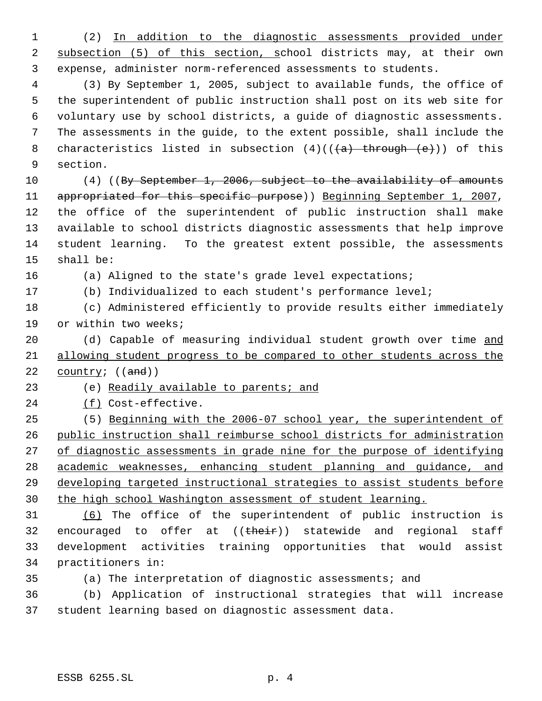(2) In addition to the diagnostic assessments provided under 2 subsection (5) of this section, school districts may, at their own expense, administer norm-referenced assessments to students.

 (3) By September 1, 2005, subject to available funds, the office of the superintendent of public instruction shall post on its web site for voluntary use by school districts, a guide of diagnostic assessments. The assessments in the guide, to the extent possible, shall include the 8 characteristics listed in subsection  $(4)((\{a\})$  through  $(e))$  of this section.

10 (4) ((By September 1, 2006, subject to the availability of amounts 11 appropriated for this specific purpose)) Beginning September 1, 2007, the office of the superintendent of public instruction shall make available to school districts diagnostic assessments that help improve student learning. To the greatest extent possible, the assessments shall be:

(a) Aligned to the state's grade level expectations;

(b) Individualized to each student's performance level;

 (c) Administered efficiently to provide results either immediately or within two weeks;

20 (d) Capable of measuring individual student growth over time and allowing student progress to be compared to other students across the 22 country;  $((and))$ 

23 (e) Readily available to parents; and

24 (f) Cost-effective.

 (5) Beginning with the 2006-07 school year, the superintendent of public instruction shall reimburse school districts for administration 27 of diagnostic assessments in grade nine for the purpose of identifying academic weaknesses, enhancing student planning and guidance, and developing targeted instructional strategies to assist students before 30 the high school Washington assessment of student learning.

 (6) The office of the superintendent of public instruction is 32 encouraged to offer at ((their)) statewide and regional staff development activities training opportunities that would assist practitioners in:

(a) The interpretation of diagnostic assessments; and

 (b) Application of instructional strategies that will increase student learning based on diagnostic assessment data.